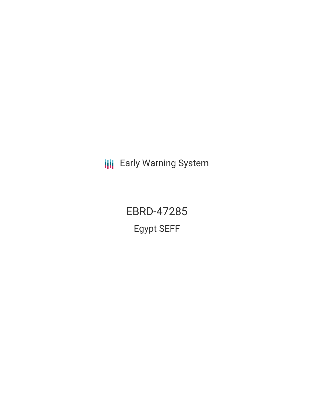**III** Early Warning System

EBRD-47285 Egypt SEFF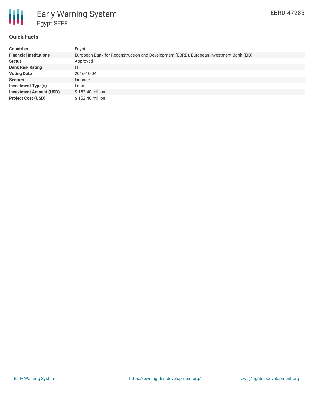

# Early Warning System Egypt SEFF

## **Quick Facts**

| <b>Countries</b>               | Egypt                                                                                   |
|--------------------------------|-----------------------------------------------------------------------------------------|
| <b>Financial Institutions</b>  | European Bank for Reconstruction and Development (EBRD), European Investment Bank (EIB) |
| <b>Status</b>                  | Approved                                                                                |
| <b>Bank Risk Rating</b>        | FI                                                                                      |
| <b>Voting Date</b>             | 2016-10-04                                                                              |
| <b>Sectors</b>                 | Finance                                                                                 |
| <b>Investment Type(s)</b>      | Loan                                                                                    |
| <b>Investment Amount (USD)</b> | $$152.40$ million                                                                       |
| <b>Project Cost (USD)</b>      | \$152.40 million                                                                        |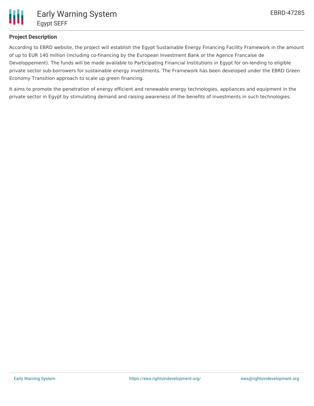

# **Project Description**

According to EBRD website, the project will establish the Egypt Sustainable Energy Financing Facility Framework in the amount of up to EUR 140 million (including co-financing by the European Investment Bank or the Agence Francaise de Developpement). The funds will be made available to Participating Financial Institutions in Egypt for on-lending to eligible private sector sub-borrowers for sustainable energy investments. The Framework has been developed under the EBRD Green Economy Transition approach to scale up green financing.

It aims to promote the penetration of energy efficient and renewable energy technologies, appliances and equipment in the private sector in Egypt by stimulating demand and raising awareness of the benefits of investments in such technologies.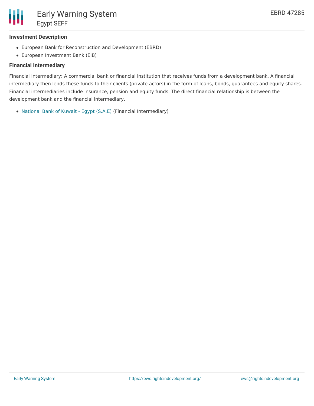

#### **Investment Description**

- European Bank for Reconstruction and Development (EBRD)
- European Investment Bank (EIB)

### **Financial Intermediary**

Financial Intermediary: A commercial bank or financial institution that receives funds from a development bank. A financial intermediary then lends these funds to their clients (private actors) in the form of loans, bonds, guarantees and equity shares. Financial intermediaries include insurance, pension and equity funds. The direct financial relationship is between the development bank and the financial intermediary.

[National](file:///actor/1004/) Bank of Kuwait - Egypt (S.A.E) (Financial Intermediary)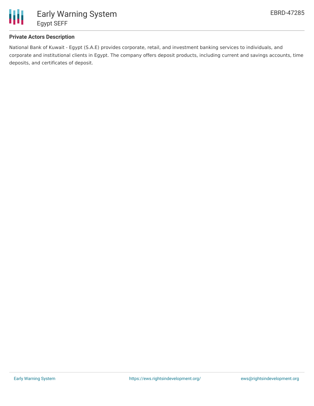

# **Private Actors Description**

National Bank of Kuwait - Egypt (S.A.E) provides corporate, retail, and investment banking services to individuals, and corporate and institutional clients in Egypt. The company offers deposit products, including current and savings accounts, time deposits, and certificates of deposit.